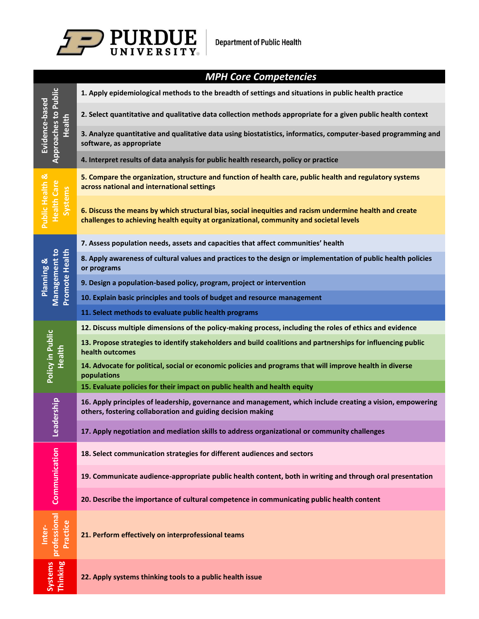

|                                                         | <b>MPH Core Competencies</b>                                                                                                                                                                      |
|---------------------------------------------------------|---------------------------------------------------------------------------------------------------------------------------------------------------------------------------------------------------|
| <b>Approaches to Public</b><br>Evidence-based<br>Health | 1. Apply epidemiological methods to the breadth of settings and situations in public health practice                                                                                              |
|                                                         | 2. Select quantitative and qualitative data collection methods appropriate for a given public health context                                                                                      |
|                                                         | 3. Analyze quantitative and qualitative data using biostatistics, informatics, computer-based programming and<br>software, as appropriate                                                         |
|                                                         | 4. Interpret results of data analysis for public health research, policy or practice                                                                                                              |
| Public Health &<br><b>Health Care</b><br>Systems        | 5. Compare the organization, structure and function of health care, public health and regulatory systems<br>across national and international settings                                            |
|                                                         | 6. Discuss the means by which structural bias, social inequities and racism undermine health and create<br>challenges to achieving health equity at organizational, community and societal levels |
| <b>Promote Health</b><br>Management to<br>Planning &    | 7. Assess population needs, assets and capacities that affect communities' health                                                                                                                 |
|                                                         | 8. Apply awareness of cultural values and practices to the design or implementation of public health policies<br>or programs                                                                      |
|                                                         | 9. Design a population-based policy, program, project or intervention                                                                                                                             |
|                                                         | 10. Explain basic principles and tools of budget and resource management                                                                                                                          |
|                                                         | 11. Select methods to evaluate public health programs                                                                                                                                             |
| Policy in Public<br>Health                              | 12. Discuss multiple dimensions of the policy-making process, including the roles of ethics and evidence                                                                                          |
|                                                         | 13. Propose strategies to identify stakeholders and build coalitions and partnerships for influencing public<br>health outcomes                                                                   |
|                                                         | 14. Advocate for political, social or economic policies and programs that will improve health in diverse<br>populations                                                                           |
|                                                         | 15. Evaluate policies for their impact on public health and health equity                                                                                                                         |
| ership<br>Lead                                          | 16. Apply principles of leadership, governance and management, which include creating a vision, empowering<br>others, fostering collaboration and guiding decision making                         |
|                                                         | 17. Apply negotiation and mediation skills to address organizational or community challenges                                                                                                      |
| Communication                                           | 18. Select communication strategies for different audiences and sectors                                                                                                                           |
|                                                         | 19. Communicate audience-appropriate public health content, both in writing and through oral presentation                                                                                         |
|                                                         | 20. Describe the importance of cultural competence in communicating public health content                                                                                                         |
| professional<br>Practice<br>Inter-                      | 21. Perform effectively on interprofessional teams                                                                                                                                                |
| Systems<br>Thinking                                     | 22. Apply systems thinking tools to a public health issue                                                                                                                                         |